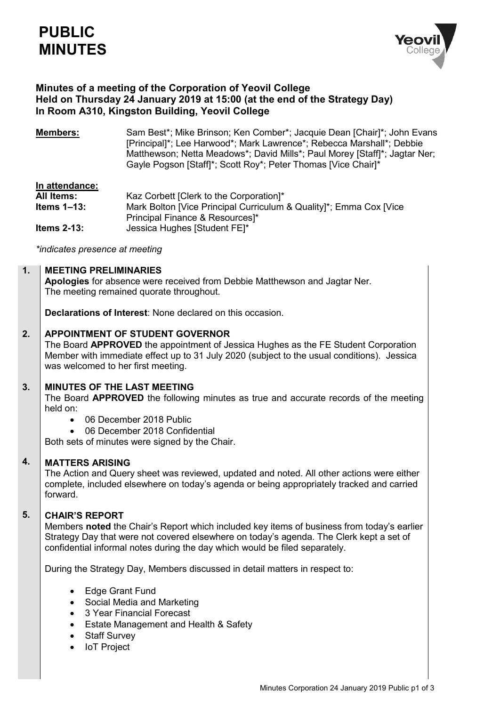

# **Minutes of a meeting of the Corporation of Yeovil College Held on Thursday 24 January 2019 at 15:00 (at the end of the Strategy Day) In Room A310, Kingston Building, Yeovil College**

**Members:** Sam Best<sup>\*</sup>; Mike Brinson; Ken Comber<sup>\*</sup>; Jacquie Dean [Chair]<sup>\*</sup>; John Evans [Principal]\*; Lee Harwood\*; Mark Lawrence\*; Rebecca Marshall\*; Debbie Matthewson; Netta Meadows\*; David Mills\*; Paul Morey [Staff]\*; Jagtar Ner; Gayle Pogson [Staff]\*; Scott Roy\*; Peter Thomas [Vice Chair]\*

# **In attendance:**

| All Items:       | Kaz Corbett [Clerk to the Corporation]*                            |
|------------------|--------------------------------------------------------------------|
| Items $1 - 13$ : | Mark Bolton [Vice Principal Curriculum & Quality]*; Emma Cox [Vice |
|                  | Principal Finance & Resources]*                                    |
| Items $2-13$ :   | Jessica Hughes [Student FE]*                                       |

*\*indicates presence at meeting*

#### **1. MEETING PRELIMINARIES**

**Apologies** for absence were received from Debbie Matthewson and Jagtar Ner. The meeting remained quorate throughout.

**Declarations of Interest**: None declared on this occasion.

#### **2. APPOINTMENT OF STUDENT GOVERNOR**

The Board **APPROVED** the appointment of Jessica Hughes as the FE Student Corporation Member with immediate effect up to 31 July 2020 (subject to the usual conditions). Jessica was welcomed to her first meeting.

#### **3. MINUTES OF THE LAST MEETING**

The Board **APPROVED** the following minutes as true and accurate records of the meeting held on:

- 06 December 2018 Public
- 06 December 2018 Confidential

Both sets of minutes were signed by the Chair.

#### **4. MATTERS ARISING**

The Action and Query sheet was reviewed, updated and noted. All other actions were either complete, included elsewhere on today's agenda or being appropriately tracked and carried forward.

#### **5. CHAIR'S REPORT**

Members **noted** the Chair's Report which included key items of business from today's earlier Strategy Day that were not covered elsewhere on today's agenda. The Clerk kept a set of confidential informal notes during the day which would be filed separately.

During the Strategy Day, Members discussed in detail matters in respect to:

- Edge Grant Fund
- Social Media and Marketing
- 3 Year Financial Forecast
- Estate Management and Health & Safety
- Staff Survey
- IoT Project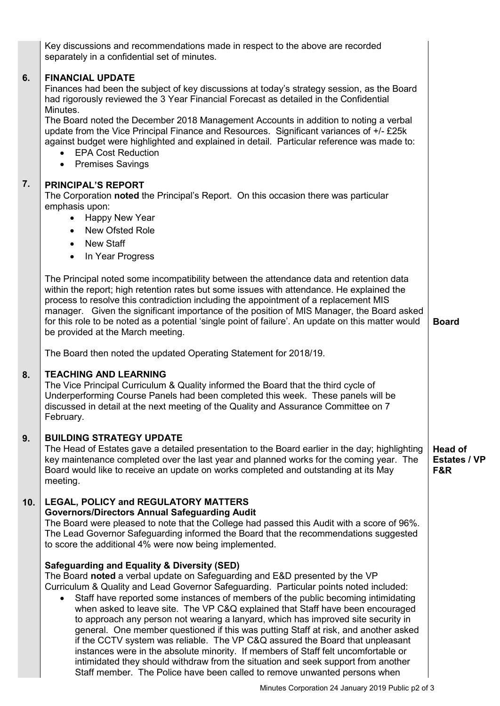|     | Key discussions and recommendations made in respect to the above are recorded<br>separately in a confidential set of minutes.                                                                                                                                                                                                                                                                                                                                                                                                                                                                                                                                                                                                                                                                                                                                                                                               |                                              |
|-----|-----------------------------------------------------------------------------------------------------------------------------------------------------------------------------------------------------------------------------------------------------------------------------------------------------------------------------------------------------------------------------------------------------------------------------------------------------------------------------------------------------------------------------------------------------------------------------------------------------------------------------------------------------------------------------------------------------------------------------------------------------------------------------------------------------------------------------------------------------------------------------------------------------------------------------|----------------------------------------------|
| 6.  | <b>FINANCIAL UPDATE</b><br>Finances had been the subject of key discussions at today's strategy session, as the Board<br>had rigorously reviewed the 3 Year Financial Forecast as detailed in the Confidential<br>Minutes.                                                                                                                                                                                                                                                                                                                                                                                                                                                                                                                                                                                                                                                                                                  |                                              |
|     | The Board noted the December 2018 Management Accounts in addition to noting a verbal<br>update from the Vice Principal Finance and Resources. Significant variances of +/- £25k<br>against budget were highlighted and explained in detail. Particular reference was made to:<br>• EPA Cost Reduction<br><b>Premises Savings</b><br>$\bullet$                                                                                                                                                                                                                                                                                                                                                                                                                                                                                                                                                                               |                                              |
| 7.  | <b>PRINCIPAL'S REPORT</b><br>The Corporation noted the Principal's Report. On this occasion there was particular<br>emphasis upon:<br><b>Happy New Year</b><br>New Ofsted Role<br>$\bullet$<br><b>New Staff</b><br>$\bullet$                                                                                                                                                                                                                                                                                                                                                                                                                                                                                                                                                                                                                                                                                                |                                              |
|     | In Year Progress<br>$\bullet$<br>The Principal noted some incompatibility between the attendance data and retention data<br>within the report; high retention rates but some issues with attendance. He explained the<br>process to resolve this contradiction including the appointment of a replacement MIS<br>manager. Given the significant importance of the position of MIS Manager, the Board asked<br>for this role to be noted as a potential 'single point of failure'. An update on this matter would<br>be provided at the March meeting.                                                                                                                                                                                                                                                                                                                                                                       | <b>Board</b>                                 |
|     | The Board then noted the updated Operating Statement for 2018/19.                                                                                                                                                                                                                                                                                                                                                                                                                                                                                                                                                                                                                                                                                                                                                                                                                                                           |                                              |
| 8.  | <b>TEACHING AND LEARNING</b><br>The Vice Principal Curriculum & Quality informed the Board that the third cycle of<br>Underperforming Course Panels had been completed this week. These panels will be<br>discussed in detail at the next meeting of the Quality and Assurance Committee on 7<br>February.                                                                                                                                                                                                                                                                                                                                                                                                                                                                                                                                                                                                                  |                                              |
| 9.  | <b>BUILDING STRATEGY UPDATE</b><br>The Head of Estates gave a detailed presentation to the Board earlier in the day; highlighting<br>key maintenance completed over the last year and planned works for the coming year. The<br>Board would like to receive an update on works completed and outstanding at its May<br>meeting.                                                                                                                                                                                                                                                                                                                                                                                                                                                                                                                                                                                             | <b>Head of</b><br><b>Estates / VP</b><br>F&R |
| 10. | <b>LEGAL, POLICY and REGULATORY MATTERS</b><br><b>Governors/Directors Annual Safeguarding Audit</b><br>The Board were pleased to note that the College had passed this Audit with a score of 96%.<br>The Lead Governor Safeguarding informed the Board that the recommendations suggested<br>to score the additional 4% were now being implemented.                                                                                                                                                                                                                                                                                                                                                                                                                                                                                                                                                                         |                                              |
|     | <b>Safeguarding and Equality &amp; Diversity (SED)</b><br>The Board noted a verbal update on Safeguarding and E&D presented by the VP<br>Curriculum & Quality and Lead Governor Safeguarding. Particular points noted included:<br>Staff have reported some instances of members of the public becoming intimidating<br>when asked to leave site. The VP C&Q explained that Staff have been encouraged<br>to approach any person not wearing a lanyard, which has improved site security in<br>general. One member questioned if this was putting Staff at risk, and another asked<br>if the CCTV system was reliable. The VP C&Q assured the Board that unpleasant<br>instances were in the absolute minority. If members of Staff felt uncomfortable or<br>intimidated they should withdraw from the situation and seek support from another<br>Staff member. The Police have been called to remove unwanted persons when |                                              |